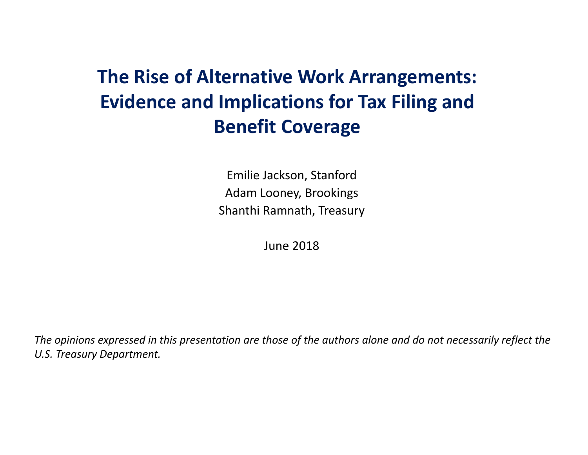#### **The Rise of Alternative Work Arrangements: Evidence and Implications for Tax Filing and Benefit Coverage**

Emilie Jackson, Stanford Adam Looney, Brookings Shanthi Ramnath, Treasury

June 2018

The opinions expressed in this presentation are those of the authors alone and do not necessarily reflect the *U.S. Treasury Department.*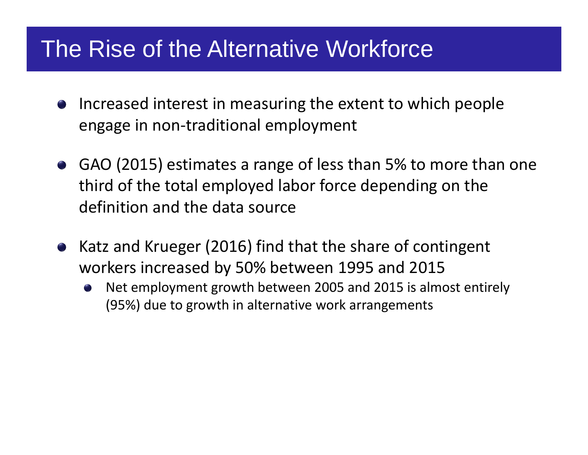# The Rise of the Alternative Workforce

- Increased interest in measuring the extent to which people engage in non ‐traditional employment
- GAO (2015) estimates a range of less than 5% to more than one third of the total employed labor force depending on the definition and the data source
- Katz and Krueger (2016) find that the share of contingent workers increased by 50% between 1995 and 2015
	- Net employment growth between 2005 and 2015 is almost entirely (95%) due to growth in alternative work arrangements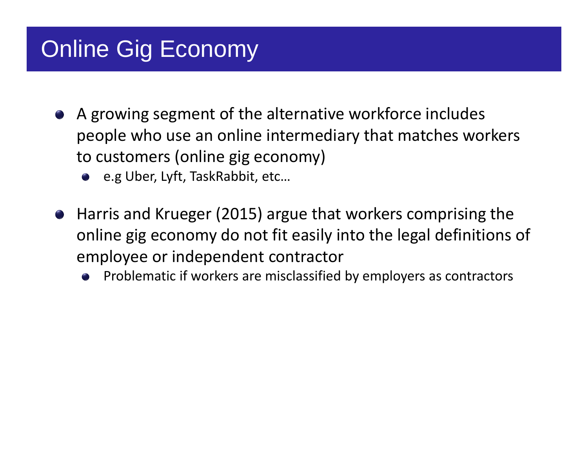# Online Gig Economy

- A growing segment of the alternative workforce includes people who use an online intermediary that matches workers to customers (online gig economy)
	- e.g Uber, Lyft, TaskRabbit, etc…
- Harris and Krueger (2015) argue that workers comprising the online gig economy do not fit easily into the legal definitions of employee or independent contractor
	- Problematic if workers are misclassified by employers as contractors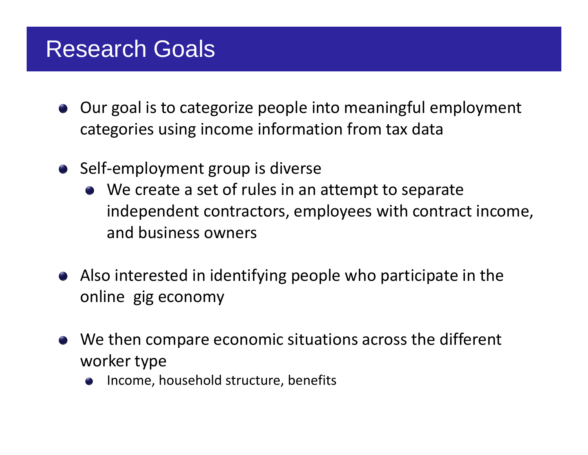#### Research Goals

- Our goal is to categorize people into meaningful employment categories using income information from tax data
- Self-employment group is diverse
	- We create <sup>a</sup> set of rules in an attempt to separate independent contractors, employees with contract income, and business owners
- Also interested in identifying people who participate in the online gig economy
- We then compare economic situations across the different worker type
	- Income, household structure, benefits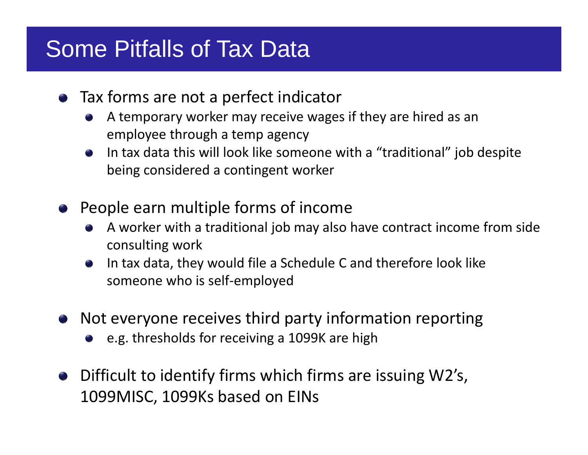# Some Pitfalls of Tax Data

- Tax forms are not <sup>a</sup> perfect indicator
	- A temporary worker may receive wages if they are hired as an employee through <sup>a</sup> temp agency
	- In tax data this will look like someone with <sup>a</sup> "traditional" job despite being considered <sup>a</sup> contingent worker
- People earn multiple forms of income
	- A worker with <sup>a</sup> traditional job may also have contract income from side consulting work
	- In tax data, they would file <sup>a</sup> Schedule C and therefore look like someone who is self‐employed
- Not everyone receives third party information reporting
	- e.g. thresholds for receiving <sup>a</sup> 1099K are high
- Difficult to identify firms which firms are issuing W2's, 1099MISC, 1099Ks based on EINs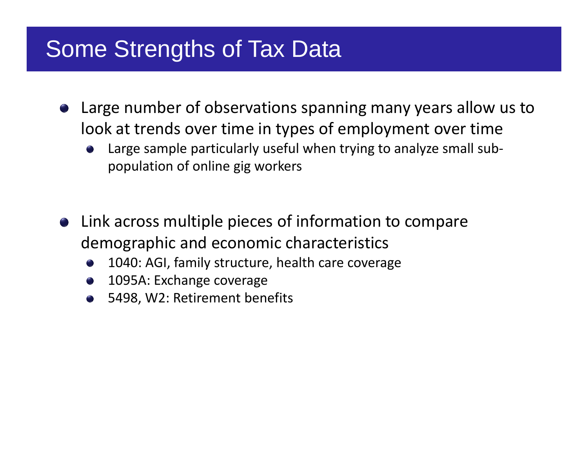# Some Strengths of Tax Data

- Large number of observations spanning many years allow us to look at trends over time in types of employment over time
	- Large sample particularly useful when trying to analyze small sub‐ population of online gig workers
- Link across multiple pieces of information to compare demographic and economic characteristics
	- 1040: AGI, family structure, health care coverage
	- 1095A: Exchange coverage
	- 5498, W2: Retirement benefits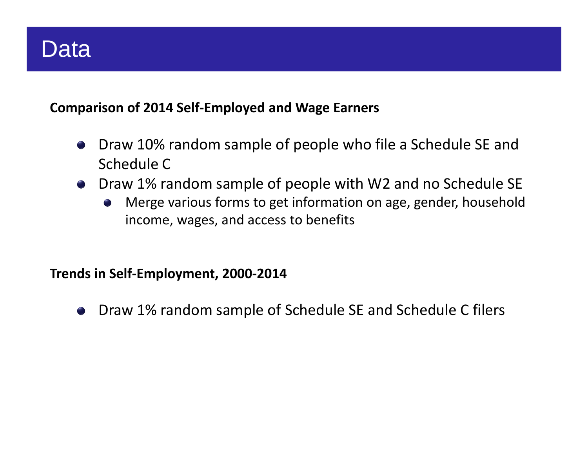# Data

#### **Comparison of 2014 Self‐Employed and Wage Earners**

- Draw 10% random sample of people who file <sup>a</sup> Schedule SE and Schedule C
- Draw 1% random sample of people with W2 and no Schedule SE
	- Merge various forms to get information on age, gender, household  $\begin{pmatrix} 1 \\ 1 \end{pmatrix}$ income, wages, and access to benefits

#### **Trends in Self‐Employment, 2000‐2014**

Draw 1% random sample of Schedule SE and Schedule C filers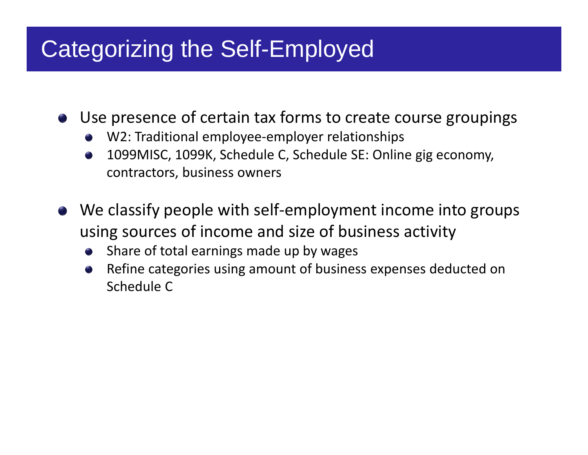# Categorizing the Self-Employed

Use presence of certain tax forms to create course groupings

- W2: Traditional employee ‐employer relationships
- 1099MISC, 1099K, Schedule C, Schedule SE: Online gig economy, contractors, business owners
- We classify people with self ‐employment income into groups using sources of income and size of business activity
	- Share of total earnings made up by wages
	- Refine categories using amount of business expenses deducted on Schedule C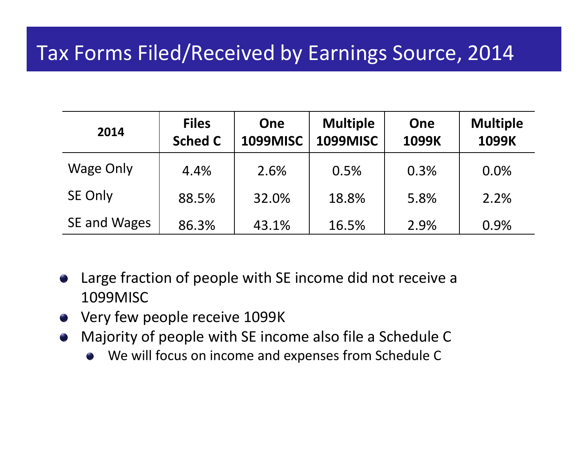#### Tax Forms Filed/Received by Earnings Source, 2014

| 2014         | <b>Files</b><br><b>Sched C</b> | One<br><b>1099MISC</b> | <b>Multiple</b><br><b>1099MISC</b> | One<br>1099K | <b>Multiple</b><br>1099K |
|--------------|--------------------------------|------------------------|------------------------------------|--------------|--------------------------|
| Wage Only    | 4.4%                           | 2.6%                   | 0.5%                               | 0.3%         | 0.0%                     |
| SE Only      | 88.5%                          | 32.0%                  | 18.8%                              | 5.8%         | 2.2%                     |
| SE and Wages | 86.3%                          | 43.1%                  | 16.5%                              | 2.9%         | 0.9%                     |

- Large fraction of people with SE income did not receive <sup>a</sup>  $\begin{pmatrix} 1 \\ 1 \end{pmatrix}$ 1099MISC
- Very few people receive 1099K
- Majority of people with SE income also file <sup>a</sup> Schedule C
	- We will focus on income and expenses from Schedule C  $\bullet$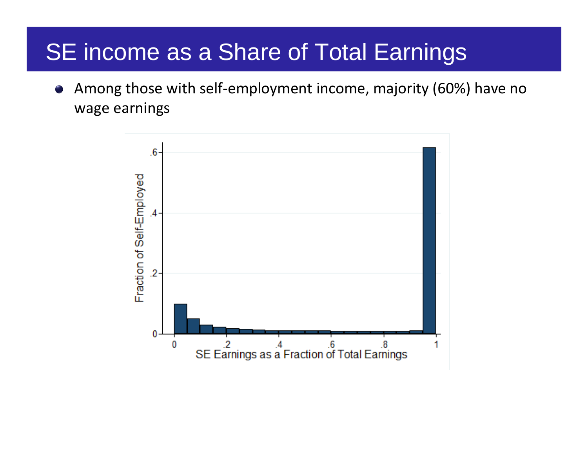# SE income as a Share of Total Earnings

Among those with self‐employment income, majority (60%) have no wage earnings

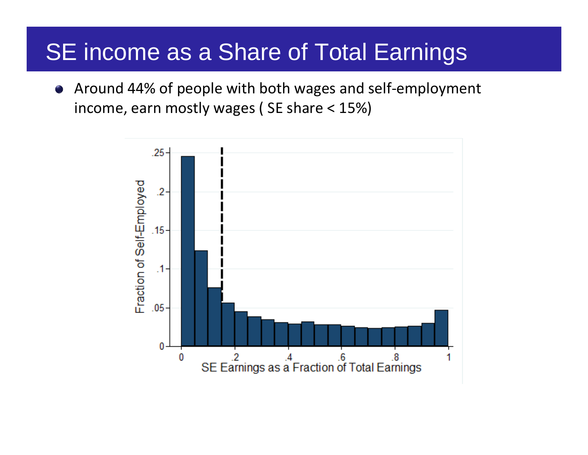# SE income as a Share of Total Earnings

Around 44% of people with both wages and self‐employment  $\bullet$ income, earn mostly wages ( SE share <sup>&</sup>lt; 15%)

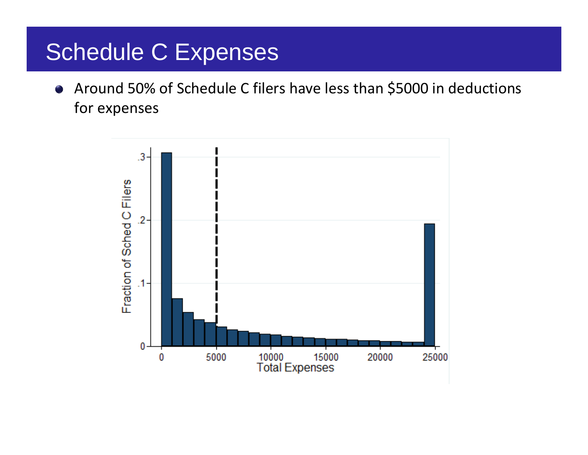# Schedule C Expenses

Around 50% of Schedule C filers have less than \$5000 in deductions  $\bullet$ for expenses

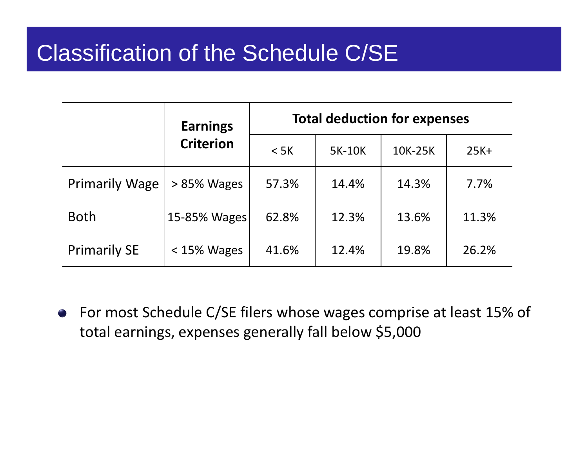# Classification of the Schedule C/SE

|                       | <b>Earnings</b>  | <b>Total deduction for expenses</b> |        |         |        |
|-----------------------|------------------|-------------------------------------|--------|---------|--------|
|                       | <b>Criterion</b> | $<$ 5K                              | 5K-10K | 10K-25K | $25K+$ |
| <b>Primarily Wage</b> | $> 85\%$ Wages   | 57.3%                               | 14.4%  | 14.3%   | 7.7%   |
| <b>Both</b>           | 15-85% Wages     | 62.8%                               | 12.3%  | 13.6%   | 11.3%  |
| <b>Primarily SE</b>   | $<$ 15% Wages    | 41.6%                               | 12.4%  | 19.8%   | 26.2%  |

For most Schedule C/SE filers whose wages comprise at least 15% of total earnings, expenses generally fall below \$5,000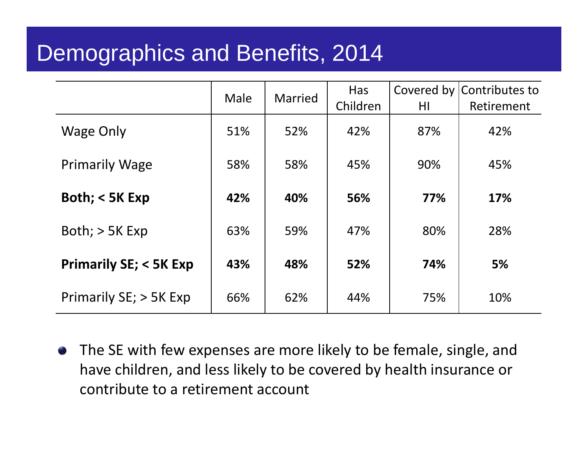# Demographics and Benefits, 2014

|                                  | Male | <b>Married</b> | Has<br>Children | HI  | Covered by Contributes to<br>Retirement |
|----------------------------------|------|----------------|-----------------|-----|-----------------------------------------|
| Wage Only                        | 51%  | 52%            | 42%             | 87% | 42%                                     |
| <b>Primarily Wage</b>            | 58%  | 58%            | 45%             | 90% | 45%                                     |
| Both; $<$ 5K Exp                 | 42%  | 40%            | 56%             | 77% | 17%                                     |
| Both; $>$ 5K Exp                 | 63%  | 59%            | 47%             | 80% | 28%                                     |
| <b>Primarily SE; &lt; 5K Exp</b> | 43%  | 48%            | 52%             | 74% | 5%                                      |
| Primarily SE; > 5K Exp           | 66%  | 62%            | 44%             | 75% | 10%                                     |

The SE with few expenses are more likely to be female, single, and have children, and less likely to be covered by health insurance or contribute to a retirement account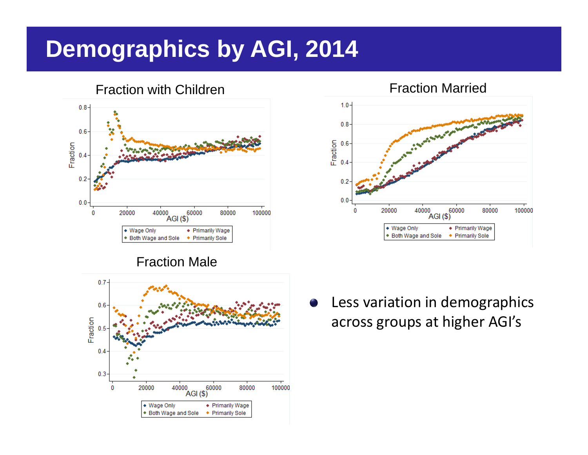# **Demographics by AGI, 2014**

Fraction with Children





Fraction Married



Less variation in demographics across groups at higher AGI's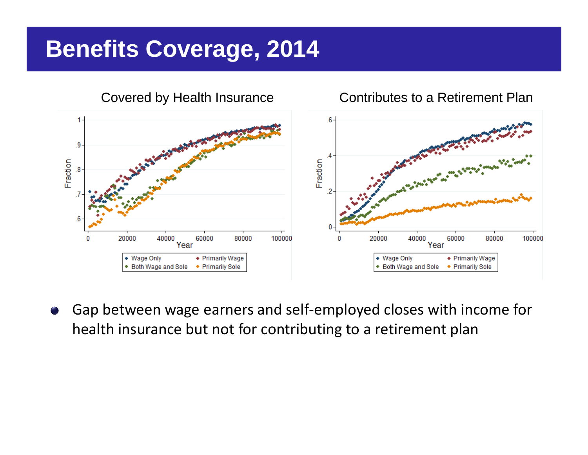# **Benefits Coverage, 2014**



Gap between wage earners and self ‐employed closes with income for health insurance but not for contributing to a retirement plan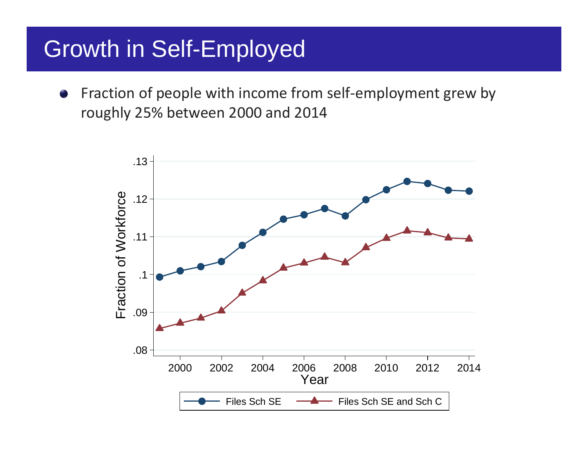# Growth in Self-Employed

Fraction of people with income from self‐employment grew by roughly 25% between 2000 and 2014

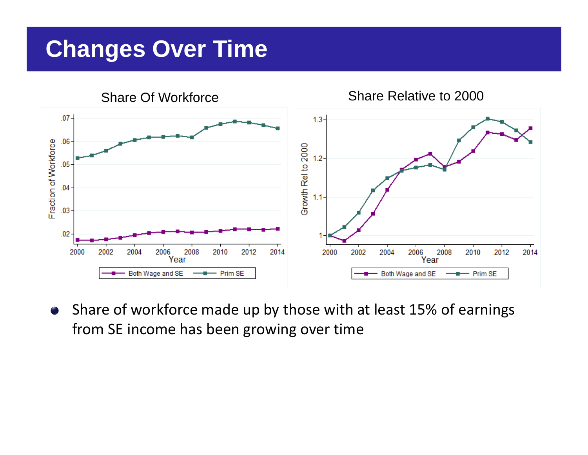# **Changes Over Time**



Share of workforce made up by those with at least 15% of earnings from SE income has been growing over time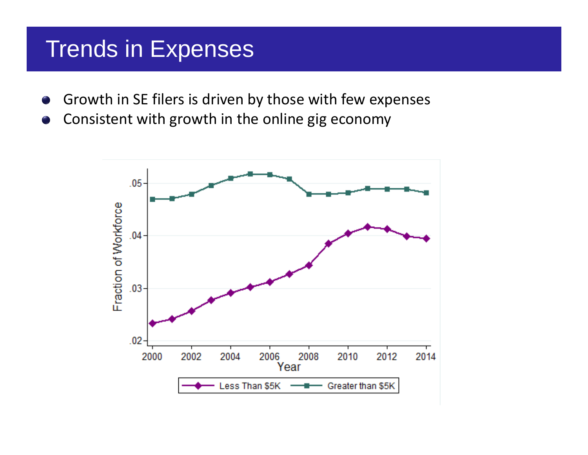#### Trends in Expenses

- Growth in SE filers is driven by those with few expenses
- Consistent with growth in the online gig economy

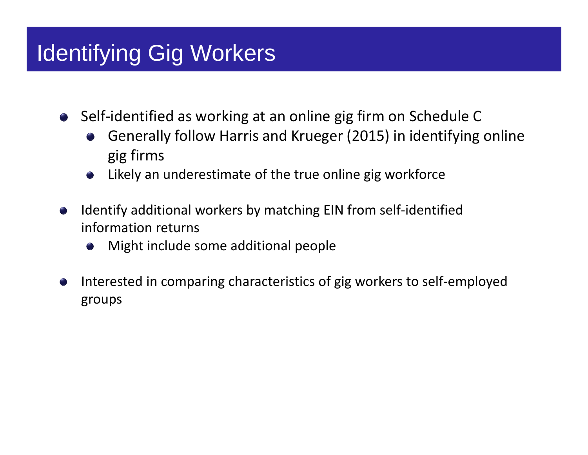# Identifying Gig Workers

Self‐identified as working at an online gig firm on Schedule C

- Generally follow Harris and Krueger (2015) in identifying online gig firms
- Likely an underestimate of the true online gig workforce
- Identify additional workers by matching EIN from self‐identified information returns
	- Might include some additional people
- Interested in comparing characteristics of gig workers to self‐employed groups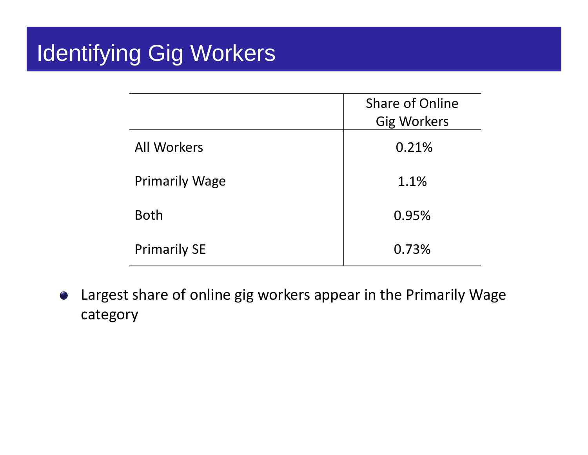# Identifying Gig Workers

|                       | <b>Share of Online</b><br><b>Gig Workers</b> |
|-----------------------|----------------------------------------------|
| <b>All Workers</b>    | 0.21%                                        |
| <b>Primarily Wage</b> | 1.1%                                         |
| <b>Both</b>           | 0.95%                                        |
| <b>Primarily SE</b>   | 0.73%                                        |

Largest share of online gig workers appear in the Primarily Wage  $\bullet$ category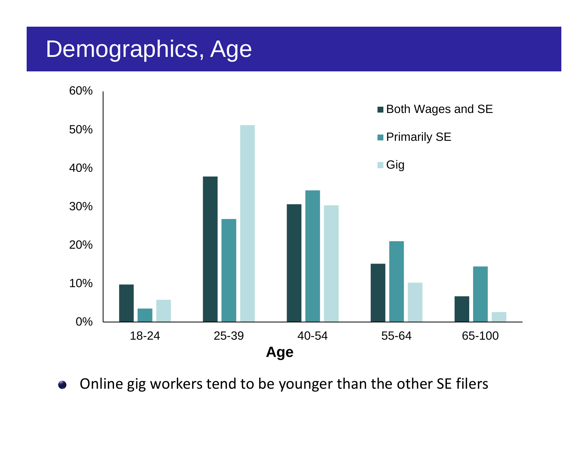## Demographics, Age



Online gig workers tend to be younger than the other SE filers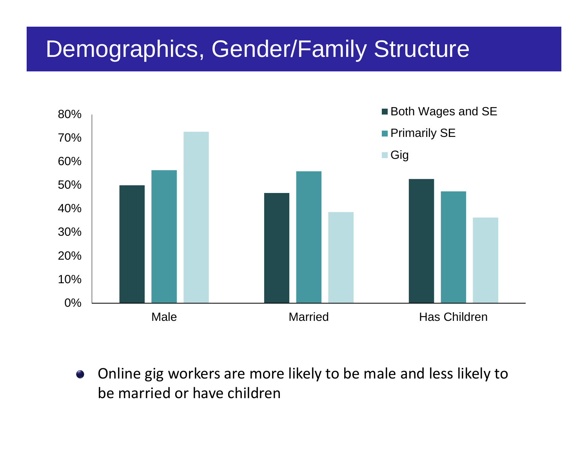# Demographics, Gender/Family Structure



Online gig workers are more likely to be male and less likely to be married or have children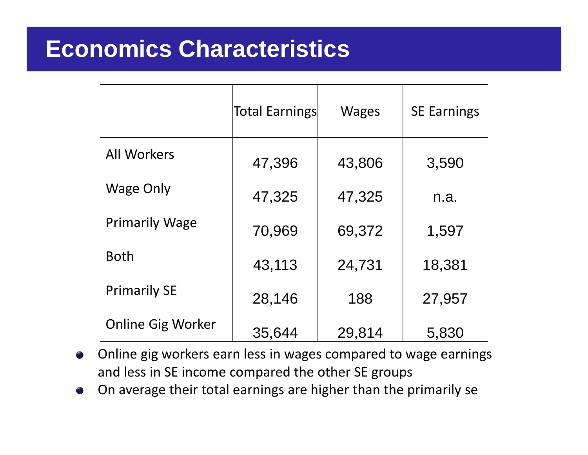#### **Economics Characteristics**

|                          | Total Earnings | <b>Wages</b> | <b>SE Earnings</b> |
|--------------------------|----------------|--------------|--------------------|
| <b>All Workers</b>       | 47,396         | 43,806       | 3,590              |
| Wage Only                | 47,325         | 47,325       | n.a.               |
| <b>Primarily Wage</b>    | 70,969         | 69,372       | 1,597              |
| <b>Both</b>              | 43,113         | 24,731       | 18,381             |
| <b>Primarily SE</b>      | 28,146         | 188          | 27,957             |
| <b>Online Gig Worker</b> | 35,644         | 29,814       | 5,830              |

- Online gig workers earn less in wages compared to wage earnings and less in SE income compared the other SE groups
- On average their total earnings are higher than the primarily se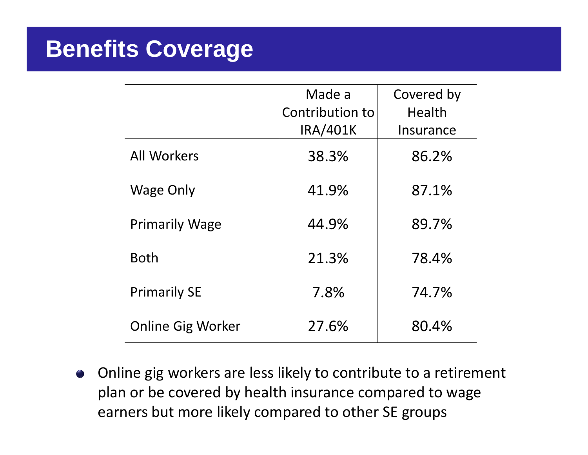# **Benefits Coverage**

|                          | Made a          | Covered by |
|--------------------------|-----------------|------------|
|                          | Contribution to | Health     |
|                          | <b>IRA/401K</b> | Insurance  |
| <b>All Workers</b>       | 38.3%           | 86.2%      |
| <b>Wage Only</b>         | 41.9%           | 87.1%      |
| <b>Primarily Wage</b>    | 44.9%           | 89.7%      |
| <b>Both</b>              | 21.3%           | 78.4%      |
| <b>Primarily SE</b>      | 7.8%            | 74.7%      |
| <b>Online Gig Worker</b> | 27.6%           | 80.4%      |

Online gig workers are less likely to contribute to <sup>a</sup> retirement plan or be covered by health insurance compared to wage earners but more likely compared to other SE groups